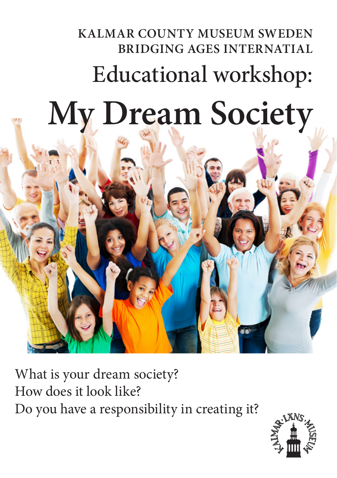## **KALMAR COUNTY MUSEUM SWEDEN BRIDGING AGES INTERNATIAL** Educational workshop: **My Dream Society**



What is your dream society? How does it look like? Do you have a responsibility in creating it?

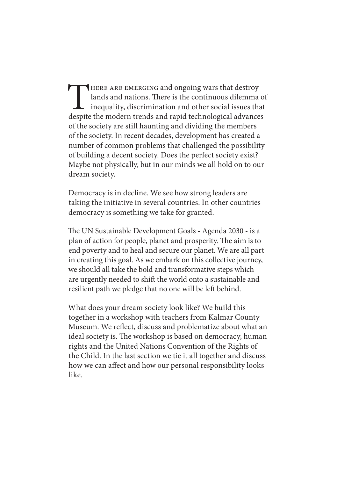THERE ARE EMERGING and ongoing wars that destroy lands and nations. There is the continuous dilemma inequality, discrimination and other social issues the despite the modern trends and rapid technological advance lands and nations. There is the continuous dilemma of inequality, discrimination and other social issues that despite the modern trends and rapid technological advances of the society are still haunting and dividing the members of the society. In recent decades, development has created a number of common problems that challenged the possibility of building a decent society. Does the perfect society exist? Maybe not physically, but in our minds we all hold on to our dream society.

Democracy is in decline. We see how strong leaders are taking the initiative in several countries. In other countries democracy is something we take for granted.

The UN Sustainable Development Goals - Agenda 2030 - is a plan of action for people, planet and prosperity. The aim is to end poverty and to heal and secure our planet. We are all part in creating this goal. As we embark on this collective journey, we should all take the bold and transformative steps which are urgently needed to shift the world onto a sustainable and resilient path we pledge that no one will be left behind.

What does your dream society look like? We build this together in a workshop with teachers from Kalmar County Museum. We reflect, discuss and problematize about what an ideal society is. The workshop is based on democracy, human rights and the United Nations Convention of the Rights of the Child. In the last section we tie it all together and discuss how we can affect and how our personal responsibility looks like.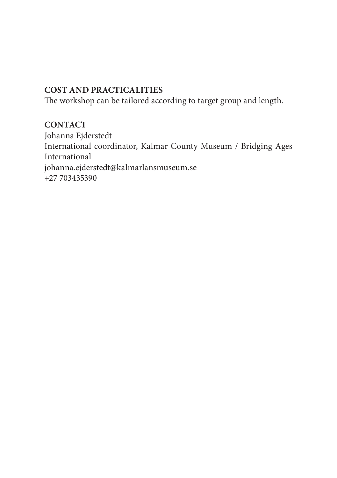## **COST AND PRACTICALITIES**

The workshop can be tailored according to target group and length.

## **CONTACT**

Johanna Ejderstedt International coordinator, Kalmar County Museum / Bridging Ages International johanna.ejderstedt@kalmarlansmuseum.se  $+27\,703435390$